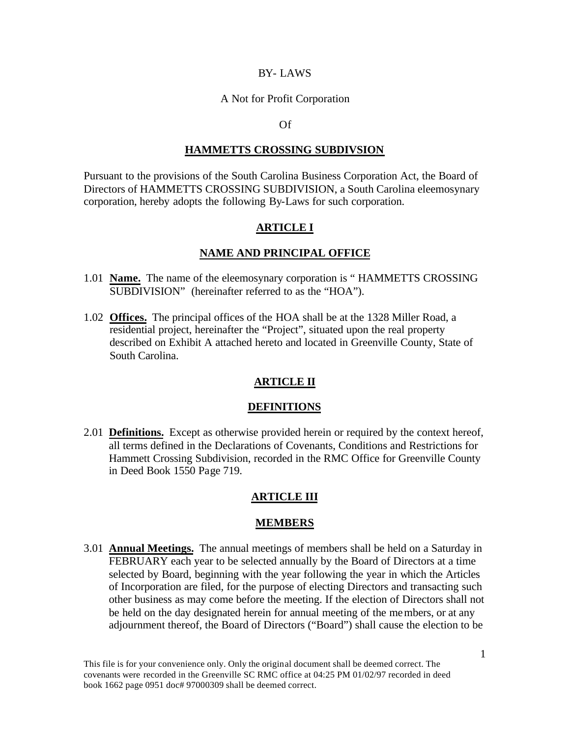#### BY- LAWS

#### A Not for Profit Corporation

#### Of

#### **HAMMETTS CROSSING SUBDIVSION**

Pursuant to the provisions of the South Carolina Business Corporation Act, the Board of Directors of HAMMETTS CROSSING SUBDIVISION, a South Carolina eleemosynary corporation, hereby adopts the following By-Laws for such corporation.

#### **ARTICLE I**

#### **NAME AND PRINCIPAL OFFICE**

- 1.01 **Name.** The name of the eleemosynary corporation is " HAMMETTS CROSSING SUBDIVISION" (hereinafter referred to as the "HOA").
- 1.02 **Offices.** The principal offices of the HOA shall be at the 1328 Miller Road, a residential project, hereinafter the "Project", situated upon the real property described on Exhibit A attached hereto and located in Greenville County, State of South Carolina.

## **ARTICLE II**

#### **DEFINITIONS**

2.01 **Definitions.** Except as otherwise provided herein or required by the context hereof, all terms defined in the Declarations of Covenants, Conditions and Restrictions for Hammett Crossing Subdivision, recorded in the RMC Office for Greenville County in Deed Book 1550 Page 719.

## **ARTICLE III**

#### **MEMBERS**

3.01 **Annual Meetings.** The annual meetings of members shall be held on a Saturday in FEBRUARY each year to be selected annually by the Board of Directors at a time selected by Board, beginning with the year following the year in which the Articles of Incorporation are filed, for the purpose of electing Directors and transacting such other business as may come before the meeting. If the election of Directors shall not be held on the day designated herein for annual meeting of the members, or at any adjournment thereof, the Board of Directors ("Board") shall cause the election to be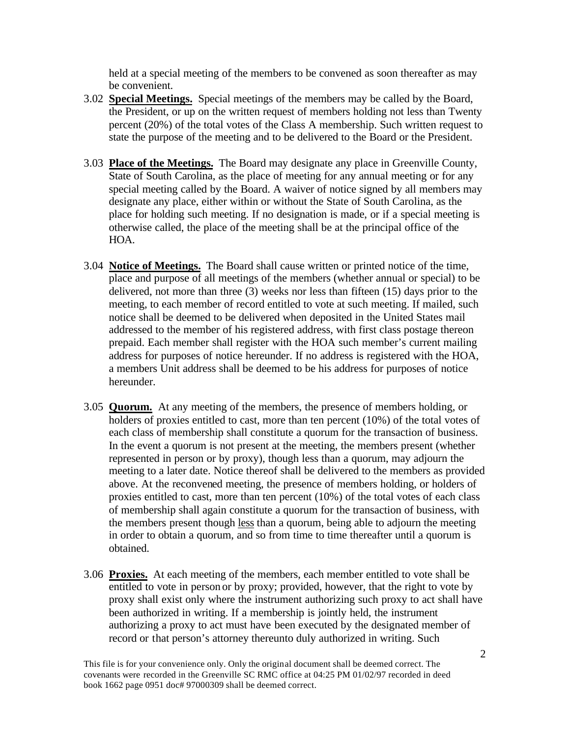held at a special meeting of the members to be convened as soon thereafter as may be convenient.

- 3.02 **Special Meetings.** Special meetings of the members may be called by the Board, the President, or up on the written request of members holding not less than Twenty percent (20%) of the total votes of the Class A membership. Such written request to state the purpose of the meeting and to be delivered to the Board or the President.
- 3.03 **Place of the Meetings.** The Board may designate any place in Greenville County, State of South Carolina, as the place of meeting for any annual meeting or for any special meeting called by the Board. A waiver of notice signed by all members may designate any place, either within or without the State of South Carolina, as the place for holding such meeting. If no designation is made, or if a special meeting is otherwise called, the place of the meeting shall be at the principal office of the HOA.
- 3.04 **Notice of Meetings.** The Board shall cause written or printed notice of the time, place and purpose of all meetings of the members (whether annual or special) to be delivered, not more than three (3) weeks nor less than fifteen (15) days prior to the meeting, to each member of record entitled to vote at such meeting. If mailed, such notice shall be deemed to be delivered when deposited in the United States mail addressed to the member of his registered address, with first class postage thereon prepaid. Each member shall register with the HOA such member's current mailing address for purposes of notice hereunder. If no address is registered with the HOA, a members Unit address shall be deemed to be his address for purposes of notice hereunder.
- 3.05 **Quorum.** At any meeting of the members, the presence of members holding, or holders of proxies entitled to cast, more than ten percent (10%) of the total votes of each class of membership shall constitute a quorum for the transaction of business. In the event a quorum is not present at the meeting, the members present (whether represented in person or by proxy), though less than a quorum, may adjourn the meeting to a later date. Notice thereof shall be delivered to the members as provided above. At the reconvened meeting, the presence of members holding, or holders of proxies entitled to cast, more than ten percent (10%) of the total votes of each class of membership shall again constitute a quorum for the transaction of business, with the members present though less than a quorum, being able to adjourn the meeting in order to obtain a quorum, and so from time to time thereafter until a quorum is obtained.
- 3.06 **Proxies.** At each meeting of the members, each member entitled to vote shall be entitled to vote in person or by proxy; provided, however, that the right to vote by proxy shall exist only where the instrument authorizing such proxy to act shall have been authorized in writing. If a membership is jointly held, the instrument authorizing a proxy to act must have been executed by the designated member of record or that person's attorney thereunto duly authorized in writing. Such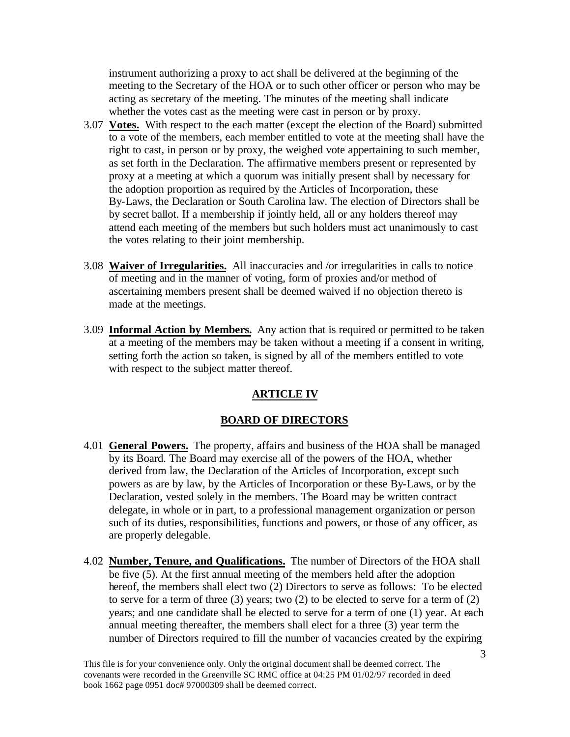instrument authorizing a proxy to act shall be delivered at the beginning of the meeting to the Secretary of the HOA or to such other officer or person who may be acting as secretary of the meeting. The minutes of the meeting shall indicate whether the votes cast as the meeting were cast in person or by proxy.

- 3.07 **Votes.** With respect to the each matter (except the election of the Board) submitted to a vote of the members, each member entitled to vote at the meeting shall have the right to cast, in person or by proxy, the weighed vote appertaining to such member, as set forth in the Declaration. The affirmative members present or represented by proxy at a meeting at which a quorum was initially present shall by necessary for the adoption proportion as required by the Articles of Incorporation, these By-Laws, the Declaration or South Carolina law. The election of Directors shall be by secret ballot. If a membership if jointly held, all or any holders thereof may attend each meeting of the members but such holders must act unanimously to cast the votes relating to their joint membership.
- 3.08 **Waiver of Irregularities.** All inaccuracies and /or irregularities in calls to notice of meeting and in the manner of voting, form of proxies and/or method of ascertaining members present shall be deemed waived if no objection thereto is made at the meetings.
- 3.09 **Informal Action by Members.** Any action that is required or permitted to be taken at a meeting of the members may be taken without a meeting if a consent in writing, setting forth the action so taken, is signed by all of the members entitled to vote with respect to the subject matter thereof.

## **ARTICLE IV**

## **BOARD OF DIRECTORS**

- 4.01 **General Powers.** The property, affairs and business of the HOA shall be managed by its Board. The Board may exercise all of the powers of the HOA, whether derived from law, the Declaration of the Articles of Incorporation, except such powers as are by law, by the Articles of Incorporation or these By-Laws, or by the Declaration, vested solely in the members. The Board may be written contract delegate, in whole or in part, to a professional management organization or person such of its duties, responsibilities, functions and powers, or those of any officer, as are properly delegable.
- 4.02 **Number, Tenure, and Qualifications.** The number of Directors of the HOA shall be five (5). At the first annual meeting of the members held after the adoption hereof, the members shall elect two (2) Directors to serve as follows: To be elected to serve for a term of three  $(3)$  years; two  $(2)$  to be elected to serve for a term of  $(2)$ years; and one candidate shall be elected to serve for a term of one (1) year. At each annual meeting thereafter, the members shall elect for a three (3) year term the number of Directors required to fill the number of vacancies created by the expiring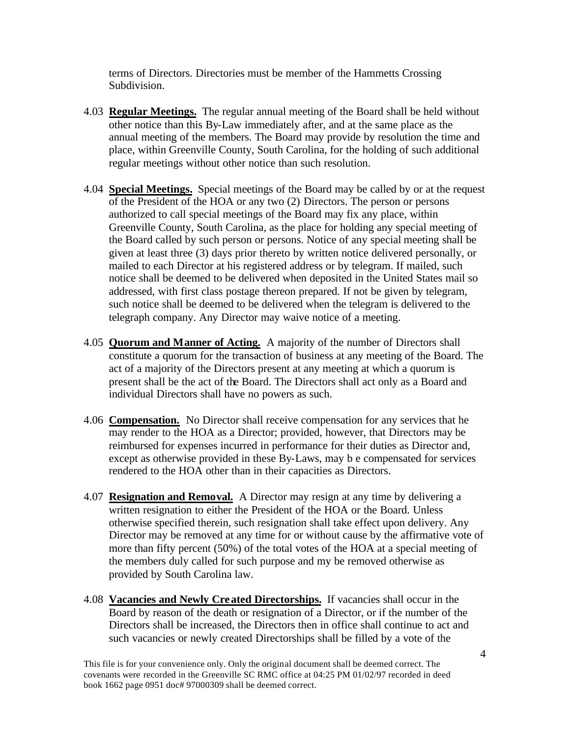terms of Directors. Directories must be member of the Hammetts Crossing Subdivision.

- 4.03 **Regular Meetings.** The regular annual meeting of the Board shall be held without other notice than this By-Law immediately after, and at the same place as the annual meeting of the members. The Board may provide by resolution the time and place, within Greenville County, South Carolina, for the holding of such additional regular meetings without other notice than such resolution.
- 4.04 **Special Meetings.** Special meetings of the Board may be called by or at the request of the President of the HOA or any two (2) Directors. The person or persons authorized to call special meetings of the Board may fix any place, within Greenville County, South Carolina, as the place for holding any special meeting of the Board called by such person or persons. Notice of any special meeting shall be given at least three (3) days prior thereto by written notice delivered personally, or mailed to each Director at his registered address or by telegram. If mailed, such notice shall be deemed to be delivered when deposited in the United States mail so addressed, with first class postage thereon prepared. If not be given by telegram, such notice shall be deemed to be delivered when the telegram is delivered to the telegraph company. Any Director may waive notice of a meeting.
- 4.05 **Quorum and Manner of Acting.** A majority of the number of Directors shall constitute a quorum for the transaction of business at any meeting of the Board. The act of a majority of the Directors present at any meeting at which a quorum is present shall be the act of the Board. The Directors shall act only as a Board and individual Directors shall have no powers as such.
- 4.06 **Compensation.** No Director shall receive compensation for any services that he may render to the HOA as a Director; provided, however, that Directors may be reimbursed for expenses incurred in performance for their duties as Director and, except as otherwise provided in these By-Laws, may b e compensated for services rendered to the HOA other than in their capacities as Directors.
- 4.07 **Resignation and Removal.** A Director may resign at any time by delivering a written resignation to either the President of the HOA or the Board. Unless otherwise specified therein, such resignation shall take effect upon delivery. Any Director may be removed at any time for or without cause by the affirmative vote of more than fifty percent (50%) of the total votes of the HOA at a special meeting of the members duly called for such purpose and my be removed otherwise as provided by South Carolina law.
- 4.08 **Vacancies and Newly Created Directorships.** If vacancies shall occur in the Board by reason of the death or resignation of a Director, or if the number of the Directors shall be increased, the Directors then in office shall continue to act and such vacancies or newly created Directorships shall be filled by a vote of the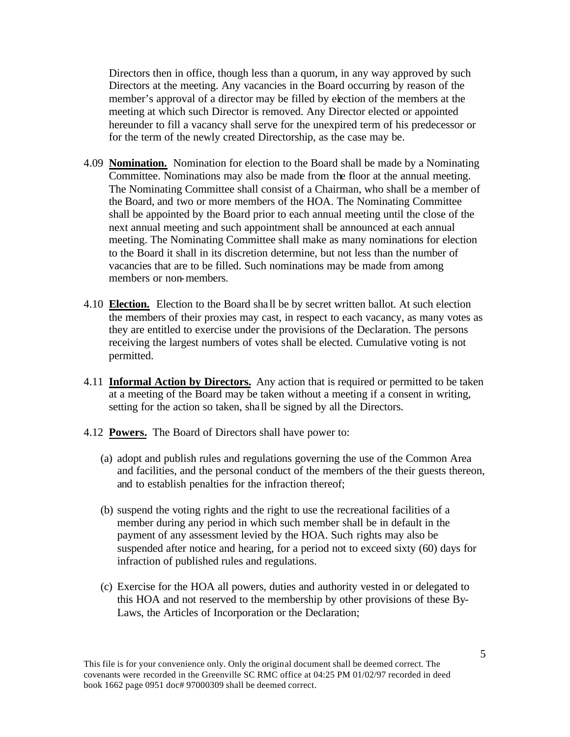Directors then in office, though less than a quorum, in any way approved by such Directors at the meeting. Any vacancies in the Board occurring by reason of the member's approval of a director may be filled by election of the members at the meeting at which such Director is removed. Any Director elected or appointed hereunder to fill a vacancy shall serve for the unexpired term of his predecessor or for the term of the newly created Directorship, as the case may be.

- 4.09 **Nomination.** Nomination for election to the Board shall be made by a Nominating Committee. Nominations may also be made from the floor at the annual meeting. The Nominating Committee shall consist of a Chairman, who shall be a member of the Board, and two or more members of the HOA. The Nominating Committee shall be appointed by the Board prior to each annual meeting until the close of the next annual meeting and such appointment shall be announced at each annual meeting. The Nominating Committee shall make as many nominations for election to the Board it shall in its discretion determine, but not less than the number of vacancies that are to be filled. Such nominations may be made from among members or non-members.
- 4.10 **Election.** Election to the Board sha ll be by secret written ballot. At such election the members of their proxies may cast, in respect to each vacancy, as many votes as they are entitled to exercise under the provisions of the Declaration. The persons receiving the largest numbers of votes shall be elected. Cumulative voting is not permitted.
- 4.11 **Informal Action by Directors.** Any action that is required or permitted to be taken at a meeting of the Board may be taken without a meeting if a consent in writing, setting for the action so taken, shall be signed by all the Directors.
- 4.12 **Powers.** The Board of Directors shall have power to:
	- (a) adopt and publish rules and regulations governing the use of the Common Area and facilities, and the personal conduct of the members of the their guests thereon, and to establish penalties for the infraction thereof;
	- (b) suspend the voting rights and the right to use the recreational facilities of a member during any period in which such member shall be in default in the payment of any assessment levied by the HOA. Such rights may also be suspended after notice and hearing, for a period not to exceed sixty (60) days for infraction of published rules and regulations.
	- (c) Exercise for the HOA all powers, duties and authority vested in or delegated to this HOA and not reserved to the membership by other provisions of these By-Laws, the Articles of Incorporation or the Declaration;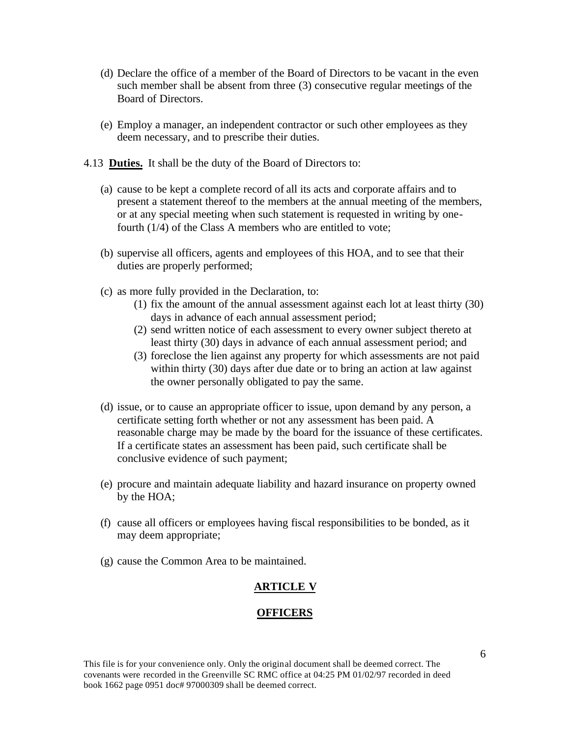- (d) Declare the office of a member of the Board of Directors to be vacant in the even such member shall be absent from three (3) consecutive regular meetings of the Board of Directors.
- (e) Employ a manager, an independent contractor or such other employees as they deem necessary, and to prescribe their duties.
- 4.13 **Duties.** It shall be the duty of the Board of Directors to:
	- (a) cause to be kept a complete record of all its acts and corporate affairs and to present a statement thereof to the members at the annual meeting of the members, or at any special meeting when such statement is requested in writing by onefourth (1/4) of the Class A members who are entitled to vote;
	- (b) supervise all officers, agents and employees of this HOA, and to see that their duties are properly performed;
	- (c) as more fully provided in the Declaration, to:
		- (1) fix the amount of the annual assessment against each lot at least thirty (30) days in advance of each annual assessment period;
		- (2) send written notice of each assessment to every owner subject thereto at least thirty (30) days in advance of each annual assessment period; and
		- (3) foreclose the lien against any property for which assessments are not paid within thirty (30) days after due date or to bring an action at law against the owner personally obligated to pay the same.
	- (d) issue, or to cause an appropriate officer to issue, upon demand by any person, a certificate setting forth whether or not any assessment has been paid. A reasonable charge may be made by the board for the issuance of these certificates. If a certificate states an assessment has been paid, such certificate shall be conclusive evidence of such payment;
	- (e) procure and maintain adequate liability and hazard insurance on property owned by the HOA;
	- (f) cause all officers or employees having fiscal responsibilities to be bonded, as it may deem appropriate;
	- (g) cause the Common Area to be maintained.

## **ARTICLE V**

#### **OFFICERS**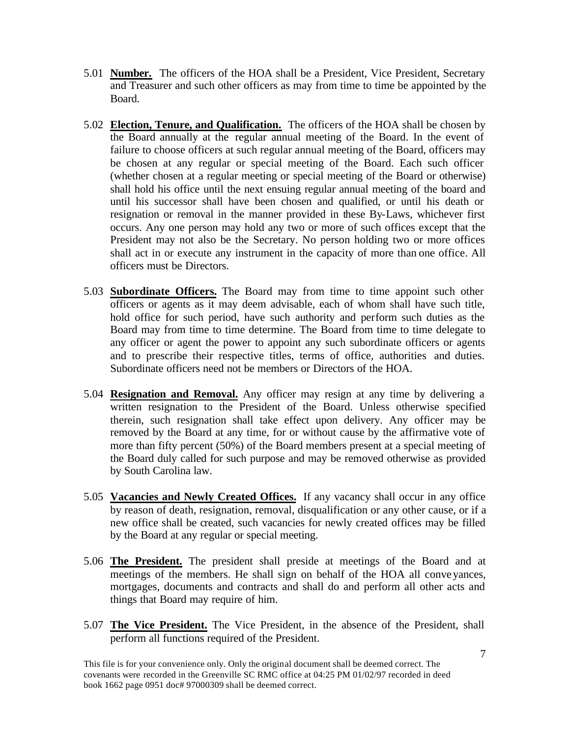- 5.01 **Number.** The officers of the HOA shall be a President, Vice President, Secretary and Treasurer and such other officers as may from time to time be appointed by the Board.
- 5.02 **Election, Tenure, and Qualification.** The officers of the HOA shall be chosen by the Board annually at the regular annual meeting of the Board. In the event of failure to choose officers at such regular annual meeting of the Board, officers may be chosen at any regular or special meeting of the Board. Each such officer (whether chosen at a regular meeting or special meeting of the Board or otherwise) shall hold his office until the next ensuing regular annual meeting of the board and until his successor shall have been chosen and qualified, or until his death or resignation or removal in the manner provided in these By-Laws, whichever first occurs. Any one person may hold any two or more of such offices except that the President may not also be the Secretary. No person holding two or more offices shall act in or execute any instrument in the capacity of more than one office. All officers must be Directors.
- 5.03 **Subordinate Officers.** The Board may from time to time appoint such other officers or agents as it may deem advisable, each of whom shall have such title, hold office for such period, have such authority and perform such duties as the Board may from time to time determine. The Board from time to time delegate to any officer or agent the power to appoint any such subordinate officers or agents and to prescribe their respective titles, terms of office, authorities and duties. Subordinate officers need not be members or Directors of the HOA.
- 5.04 **Resignation and Removal.** Any officer may resign at any time by delivering a written resignation to the President of the Board. Unless otherwise specified therein, such resignation shall take effect upon delivery. Any officer may be removed by the Board at any time, for or without cause by the affirmative vote of more than fifty percent (50%) of the Board members present at a special meeting of the Board duly called for such purpose and may be removed otherwise as provided by South Carolina law.
- 5.05 **Vacancies and Newly Created Offices.** If any vacancy shall occur in any office by reason of death, resignation, removal, disqualification or any other cause, or if a new office shall be created, such vacancies for newly created offices may be filled by the Board at any regular or special meeting.
- 5.06 **The President.** The president shall preside at meetings of the Board and at meetings of the members. He shall sign on behalf of the HOA all conve yances, mortgages, documents and contracts and shall do and perform all other acts and things that Board may require of him.
- 5.07 **The Vice President.** The Vice President, in the absence of the President, shall perform all functions required of the President.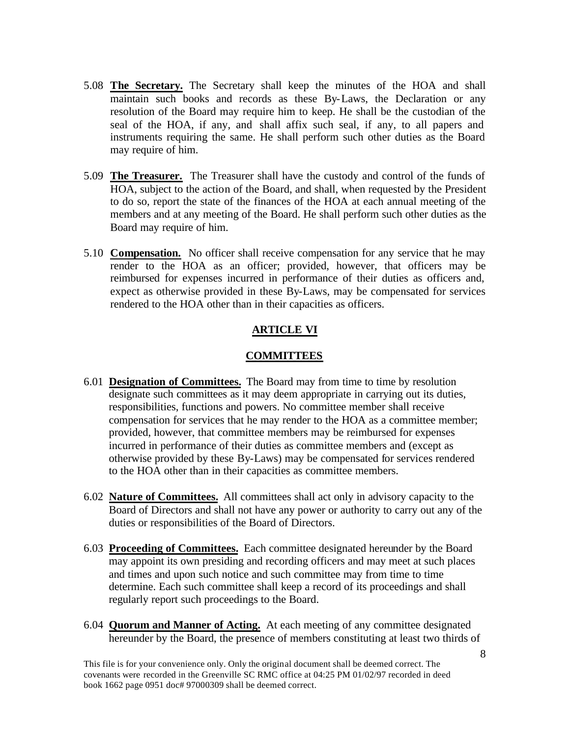- 5.08 **The Secretary.** The Secretary shall keep the minutes of the HOA and shall maintain such books and records as these By-Laws, the Declaration or any resolution of the Board may require him to keep. He shall be the custodian of the seal of the HOA, if any, and shall affix such seal, if any, to all papers and instruments requiring the same. He shall perform such other duties as the Board may require of him.
- 5.09 **The Treasurer.** The Treasurer shall have the custody and control of the funds of HOA, subject to the action of the Board, and shall, when requested by the President to do so, report the state of the finances of the HOA at each annual meeting of the members and at any meeting of the Board. He shall perform such other duties as the Board may require of him.
- 5.10 **Compensation.** No officer shall receive compensation for any service that he may render to the HOA as an officer; provided, however, that officers may be reimbursed for expenses incurred in performance of their duties as officers and, expect as otherwise provided in these By-Laws, may be compensated for services rendered to the HOA other than in their capacities as officers.

## **ARTICLE VI**

#### **COMMITTEES**

- 6.01 **Designation of Committees.** The Board may from time to time by resolution designate such committees as it may deem appropriate in carrying out its duties, responsibilities, functions and powers. No committee member shall receive compensation for services that he may render to the HOA as a committee member; provided, however, that committee members may be reimbursed for expenses incurred in performance of their duties as committee members and (except as otherwise provided by these By-Laws) may be compensated for services rendered to the HOA other than in their capacities as committee members.
- 6.02 **Nature of Committees.** All committees shall act only in advisory capacity to the Board of Directors and shall not have any power or authority to carry out any of the duties or responsibilities of the Board of Directors.
- 6.03 **Proceeding of Committees.** Each committee designated hereunder by the Board may appoint its own presiding and recording officers and may meet at such places and times and upon such notice and such committee may from time to time determine. Each such committee shall keep a record of its proceedings and shall regularly report such proceedings to the Board.
- 6.04 **Quorum and Manner of Acting.** At each meeting of any committee designated hereunder by the Board, the presence of members constituting at least two thirds of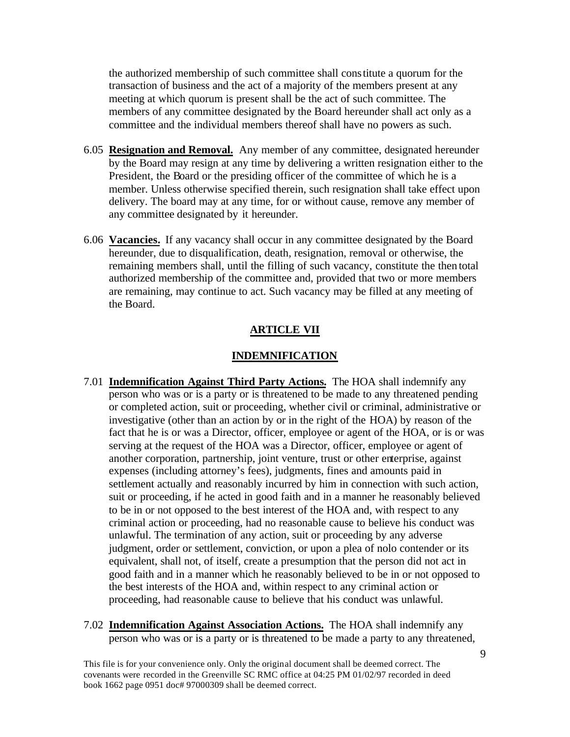the authorized membership of such committee shall constitute a quorum for the transaction of business and the act of a majority of the members present at any meeting at which quorum is present shall be the act of such committee. The members of any committee designated by the Board hereunder shall act only as a committee and the individual members thereof shall have no powers as such.

- 6.05 **Resignation and Removal.** Any member of any committee, designated hereunder by the Board may resign at any time by delivering a written resignation either to the President, the Board or the presiding officer of the committee of which he is a member. Unless otherwise specified therein, such resignation shall take effect upon delivery. The board may at any time, for or without cause, remove any member of any committee designated by it hereunder.
- 6.06 **Vacancies.** If any vacancy shall occur in any committee designated by the Board hereunder, due to disqualification, death, resignation, removal or otherwise, the remaining members shall, until the filling of such vacancy, constitute the then total authorized membership of the committee and, provided that two or more members are remaining, may continue to act. Such vacancy may be filled at any meeting of the Board.

#### **ARTICLE VII**

#### **INDEMNIFICATION**

- 7.01 **Indemnification Against Third Party Actions.** The HOA shall indemnify any person who was or is a party or is threatened to be made to any threatened pending or completed action, suit or proceeding, whether civil or criminal, administrative or investigative (other than an action by or in the right of the HOA) by reason of the fact that he is or was a Director, officer, employee or agent of the HOA, or is or was serving at the request of the HOA was a Director, officer, employee or agent of another corporation, partnership, joint venture, trust or other enterprise, against expenses (including attorney's fees), judgments, fines and amounts paid in settlement actually and reasonably incurred by him in connection with such action, suit or proceeding, if he acted in good faith and in a manner he reasonably believed to be in or not opposed to the best interest of the HOA and, with respect to any criminal action or proceeding, had no reasonable cause to believe his conduct was unlawful. The termination of any action, suit or proceeding by any adverse judgment, order or settlement, conviction, or upon a plea of nolo contender or its equivalent, shall not, of itself, create a presumption that the person did not act in good faith and in a manner which he reasonably believed to be in or not opposed to the best interests of the HOA and, within respect to any criminal action or proceeding, had reasonable cause to believe that his conduct was unlawful.
- 7.02 **Indemnification Against Association Actions.** The HOA shall indemnify any person who was or is a party or is threatened to be made a party to any threatened,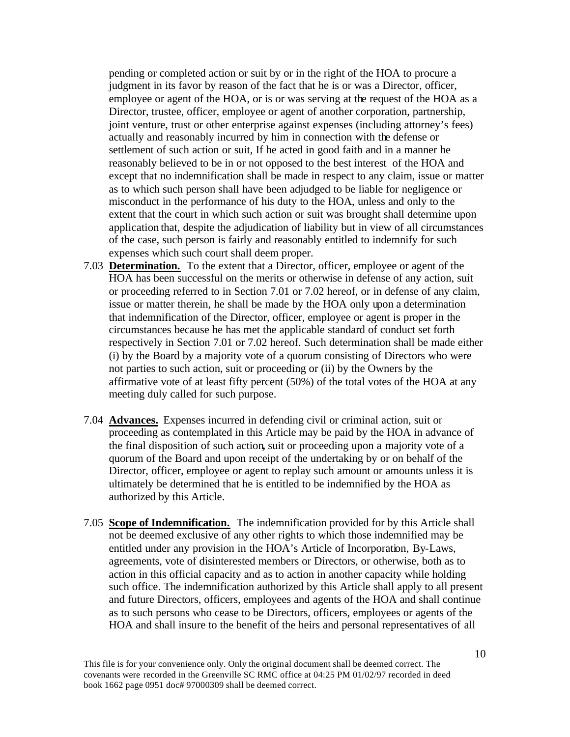pending or completed action or suit by or in the right of the HOA to procure a judgment in its favor by reason of the fact that he is or was a Director, officer, employee or agent of the HOA, or is or was serving at the request of the HOA as a Director, trustee, officer, employee or agent of another corporation, partnership, joint venture, trust or other enterprise against expenses (including attorney's fees) actually and reasonably incurred by him in connection with the defense or settlement of such action or suit, If he acted in good faith and in a manner he reasonably believed to be in or not opposed to the best interest of the HOA and except that no indemnification shall be made in respect to any claim, issue or matter as to which such person shall have been adjudged to be liable for negligence or misconduct in the performance of his duty to the HOA, unless and only to the extent that the court in which such action or suit was brought shall determine upon application that, despite the adjudication of liability but in view of all circumstances of the case, such person is fairly and reasonably entitled to indemnify for such expenses which such court shall deem proper.

- 7.03 **Determination.** To the extent that a Director, officer, employee or agent of the HOA has been successful on the merits or otherwise in defense of any action, suit or proceeding referred to in Section 7.01 or 7.02 hereof, or in defense of any claim, issue or matter therein, he shall be made by the HOA only upon a determination that indemnification of the Director, officer, employee or agent is proper in the circumstances because he has met the applicable standard of conduct set forth respectively in Section 7.01 or 7.02 hereof. Such determination shall be made either (i) by the Board by a majority vote of a quorum consisting of Directors who were not parties to such action, suit or proceeding or (ii) by the Owners by the affirmative vote of at least fifty percent (50%) of the total votes of the HOA at any meeting duly called for such purpose.
- 7.04 **Advances.** Expenses incurred in defending civil or criminal action, suit or proceeding as contemplated in this Article may be paid by the HOA in advance of the final disposition of such action**,** suit or proceeding upon a majority vote of a quorum of the Board and upon receipt of the undertaking by or on behalf of the Director, officer, employee or agent to replay such amount or amounts unless it is ultimately be determined that he is entitled to be indemnified by the HOA as authorized by this Article.
- 7.05 **Scope of Indemnification.** The indemnification provided for by this Article shall not be deemed exclusive of any other rights to which those indemnified may be entitled under any provision in the HOA's Article of Incorporation, By-Laws, agreements, vote of disinterested members or Directors, or otherwise, both as to action in this official capacity and as to action in another capacity while holding such office. The indemnification authorized by this Article shall apply to all present and future Directors, officers, employees and agents of the HOA and shall continue as to such persons who cease to be Directors, officers, employees or agents of the HOA and shall insure to the benefit of the heirs and personal representatives of all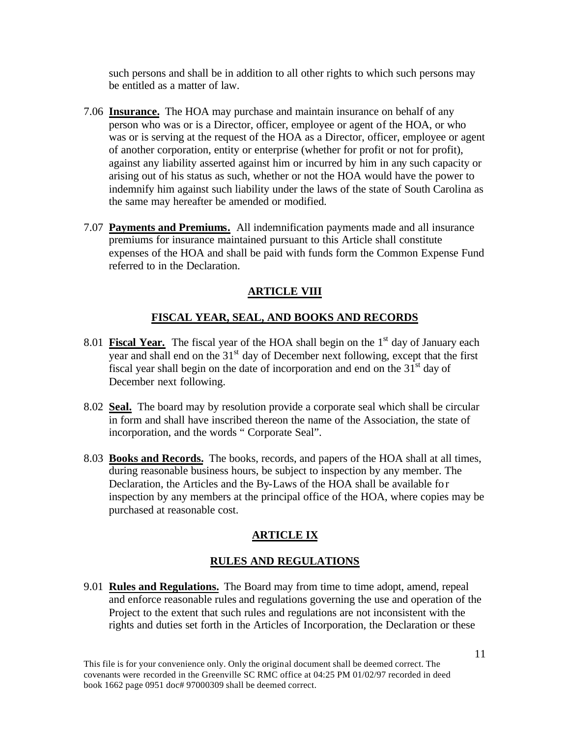such persons and shall be in addition to all other rights to which such persons may be entitled as a matter of law.

- 7.06 **Insurance.** The HOA may purchase and maintain insurance on behalf of any person who was or is a Director, officer, employee or agent of the HOA, or who was or is serving at the request of the HOA as a Director, officer, employee or agent of another corporation, entity or enterprise (whether for profit or not for profit), against any liability asserted against him or incurred by him in any such capacity or arising out of his status as such, whether or not the HOA would have the power to indemnify him against such liability under the laws of the state of South Carolina as the same may hereafter be amended or modified.
- 7.07 **Payments and Premiums.** All indemnification payments made and all insurance premiums for insurance maintained pursuant to this Article shall constitute expenses of the HOA and shall be paid with funds form the Common Expense Fund referred to in the Declaration.

# **ARTICLE VIII**

# **FISCAL YEAR, SEAL, AND BOOKS AND RECORDS**

- 8.01 **Fiscal Year.** The fiscal year of the HOA shall begin on the 1<sup>st</sup> day of January each year and shall end on the  $31<sup>st</sup>$  day of December next following, except that the first fiscal year shall begin on the date of incorporation and end on the  $31<sup>st</sup>$  day of December next following.
- 8.02 **Seal.** The board may by resolution provide a corporate seal which shall be circular in form and shall have inscribed thereon the name of the Association, the state of incorporation, and the words " Corporate Seal".
- 8.03 **Books and Records.** The books, records, and papers of the HOA shall at all times, during reasonable business hours, be subject to inspection by any member. The Declaration, the Articles and the By-Laws of the HOA shall be available for inspection by any members at the principal office of the HOA, where copies may be purchased at reasonable cost.

# **ARTICLE IX**

# **RULES AND REGULATIONS**

9.01 **Rules and Regulations.** The Board may from time to time adopt, amend, repeal and enforce reasonable rules and regulations governing the use and operation of the Project to the extent that such rules and regulations are not inconsistent with the rights and duties set forth in the Articles of Incorporation, the Declaration or these